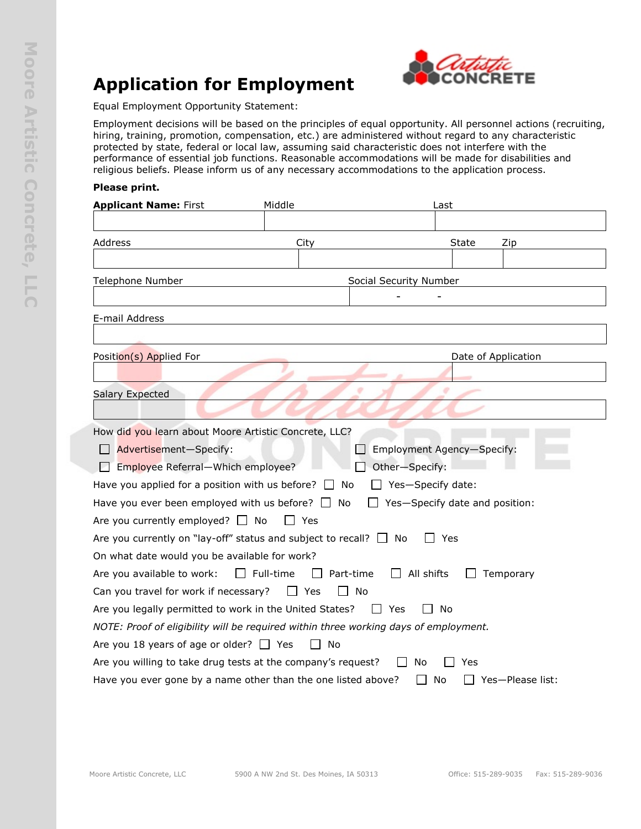# Application for Employment



#### Equal Employment Opportunity Statement:

#### Please print.

|                                               | <b>Application for Employment</b>                                                                                                                                                                                                                                                                                                                                                                                                                                                                                                      |                                |                  |
|-----------------------------------------------|----------------------------------------------------------------------------------------------------------------------------------------------------------------------------------------------------------------------------------------------------------------------------------------------------------------------------------------------------------------------------------------------------------------------------------------------------------------------------------------------------------------------------------------|--------------------------------|------------------|
| Equal Employment Opportunity Statement:       |                                                                                                                                                                                                                                                                                                                                                                                                                                                                                                                                        |                                |                  |
|                                               | Employment decisions will be based on the principles of equal opportunity. All personnel actions (recruiting<br>hiring, training, promotion, compensation, etc.) are administered without regard to any characteristic<br>protected by state, federal or local law, assuming said characteristic does not interfere with the<br>performance of essential job functions. Reasonable accommodations will be made for disabilities and<br>religious beliefs. Please inform us of any necessary accommodations to the application process. |                                |                  |
| Please print.                                 |                                                                                                                                                                                                                                                                                                                                                                                                                                                                                                                                        |                                |                  |
| <b>Applicant Name: First</b>                  | Middle                                                                                                                                                                                                                                                                                                                                                                                                                                                                                                                                 | Last                           |                  |
|                                               |                                                                                                                                                                                                                                                                                                                                                                                                                                                                                                                                        |                                |                  |
| Address                                       | City                                                                                                                                                                                                                                                                                                                                                                                                                                                                                                                                   | State                          | Zip              |
|                                               |                                                                                                                                                                                                                                                                                                                                                                                                                                                                                                                                        |                                |                  |
| Telephone Number                              |                                                                                                                                                                                                                                                                                                                                                                                                                                                                                                                                        | Social Security Number         |                  |
|                                               |                                                                                                                                                                                                                                                                                                                                                                                                                                                                                                                                        |                                |                  |
| Salary Expected<br>Advertisement-Specify:     | How did you learn about Moore Artistic Concrete, LLC?                                                                                                                                                                                                                                                                                                                                                                                                                                                                                  | Employment Agency-Specify:     |                  |
| Employee Referral-Which employee?             |                                                                                                                                                                                                                                                                                                                                                                                                                                                                                                                                        | Other-Specify:                 |                  |
|                                               | Have you applied for a position with us before? $\Box$<br>No                                                                                                                                                                                                                                                                                                                                                                                                                                                                           | $\Box$ Yes-Specify date:       |                  |
|                                               | Have you ever been employed with us before? $\Box$<br>No                                                                                                                                                                                                                                                                                                                                                                                                                                                                               | Yes-Specify date and position: |                  |
| Are you currently employed? $\Box$ No         | Yes                                                                                                                                                                                                                                                                                                                                                                                                                                                                                                                                    |                                |                  |
|                                               | Are you currently on "lay-off" status and subject to recall? $\Box$ No                                                                                                                                                                                                                                                                                                                                                                                                                                                                 | $\Box$ Yes                     |                  |
| On what date would you be available for work? |                                                                                                                                                                                                                                                                                                                                                                                                                                                                                                                                        |                                |                  |
| Are you available to work:                    | $\Box$ Full-time<br>Part-time                                                                                                                                                                                                                                                                                                                                                                                                                                                                                                          | All shifts                     | Temporary        |
| Can you travel for work if necessary?         | $\Box$ Yes<br>No                                                                                                                                                                                                                                                                                                                                                                                                                                                                                                                       |                                |                  |
|                                               | Are you legally permitted to work in the United States?                                                                                                                                                                                                                                                                                                                                                                                                                                                                                | No<br>$\Box$ Yes               |                  |
|                                               | NOTE: Proof of eligibility will be required within three working days of employment.                                                                                                                                                                                                                                                                                                                                                                                                                                                   |                                |                  |
| Are you 18 years of age or older? $\Box$ Yes  | No                                                                                                                                                                                                                                                                                                                                                                                                                                                                                                                                     |                                |                  |
|                                               | Are you willing to take drug tests at the company's request?                                                                                                                                                                                                                                                                                                                                                                                                                                                                           | Yes<br>No                      |                  |
|                                               | Have you ever gone by a name other than the one listed above?                                                                                                                                                                                                                                                                                                                                                                                                                                                                          | No                             | Yes-Please list: |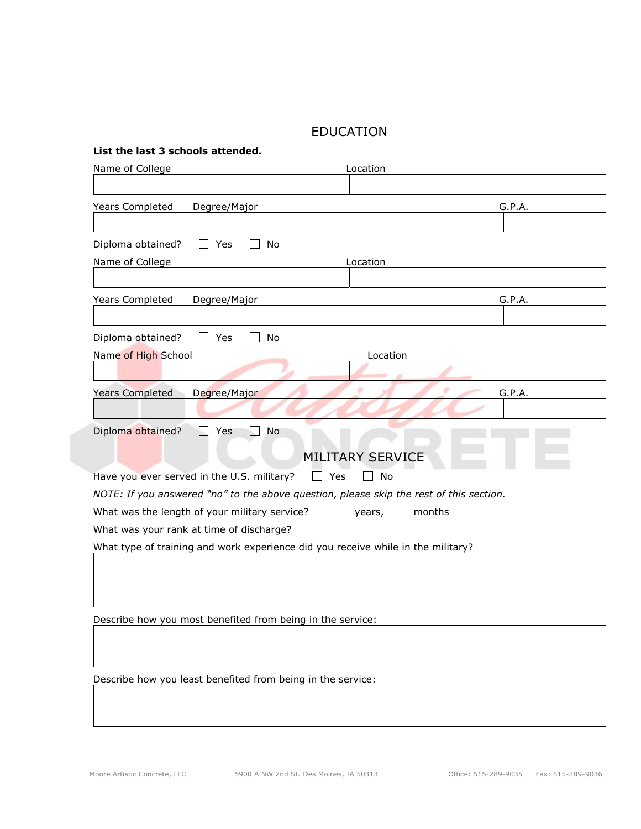# EDUCATION

| List the last 3 schools attended.                                                       |                  |          |        |  |
|-----------------------------------------------------------------------------------------|------------------|----------|--------|--|
| Name of College                                                                         |                  | Location |        |  |
|                                                                                         |                  |          |        |  |
| Years Completed                                                                         | Degree/Major     |          | G.P.A. |  |
|                                                                                         |                  |          |        |  |
| Diploma obtained?                                                                       | No<br>$\Box$ Yes |          |        |  |
| Name of College                                                                         | Location         |          |        |  |
|                                                                                         |                  |          |        |  |
| Years Completed                                                                         | Degree/Major     |          | G.P.A. |  |
|                                                                                         |                  |          |        |  |
| Diploma obtained?                                                                       | No<br>$\Box$ Yes |          |        |  |
| Name of High School                                                                     |                  | Location |        |  |
|                                                                                         |                  |          |        |  |
| <b>Years Completed</b>                                                                  | Degree/Major     |          | G.P.A. |  |
|                                                                                         |                  |          |        |  |
| Diploma obtained?<br>Yes<br>No                                                          |                  |          |        |  |
|                                                                                         |                  |          |        |  |
| <b>MILITARY SERVICE</b>                                                                 |                  |          |        |  |
| Have you ever served in the U.S. military?                                              | $\Box$ Yes       | No       |        |  |
| NOTE: If you answered "no" to the above question, please skip the rest of this section. |                  |          |        |  |
| What was the length of your military service?<br>years,<br>months                       |                  |          |        |  |
| What was your rank at time of discharge?                                                |                  |          |        |  |
| What type of training and work experience did you receive while in the military?        |                  |          |        |  |
|                                                                                         |                  |          |        |  |
|                                                                                         |                  |          |        |  |
|                                                                                         |                  |          |        |  |
| Describe how you most benefited from being in the service:                              |                  |          |        |  |
|                                                                                         |                  |          |        |  |
|                                                                                         |                  |          |        |  |
| Describe how you least benefited from being in the service:                             |                  |          |        |  |
|                                                                                         |                  |          |        |  |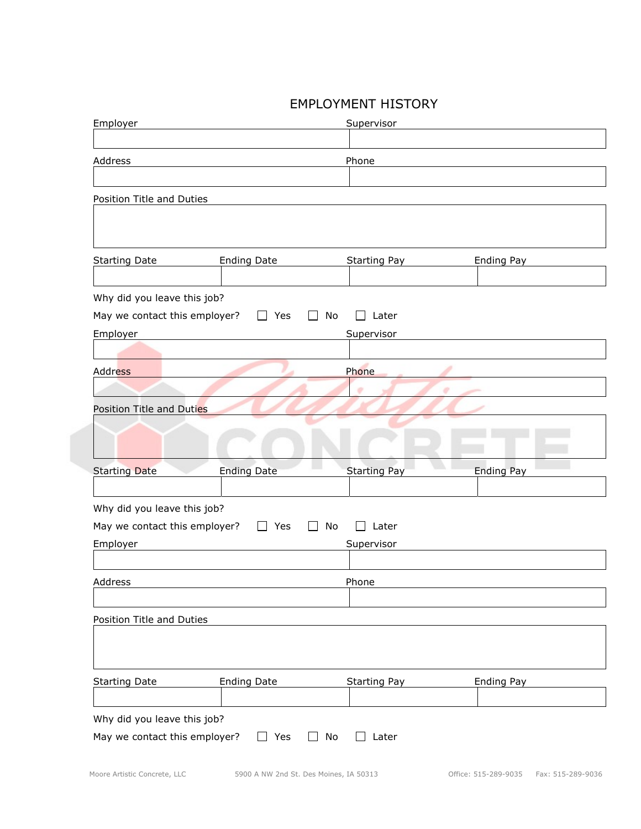# EMPLOYMENT HISTORY

| Employer                      |                    | Supervisor          |                   |
|-------------------------------|--------------------|---------------------|-------------------|
|                               |                    |                     |                   |
| Address                       |                    | Phone               |                   |
|                               |                    |                     |                   |
| Position Title and Duties     |                    |                     |                   |
|                               |                    |                     |                   |
|                               |                    |                     |                   |
| <b>Starting Date</b>          | <b>Ending Date</b> | <b>Starting Pay</b> | Ending Pay        |
|                               |                    |                     |                   |
|                               |                    |                     |                   |
| Why did you leave this job?   | No<br>$\mathsf{L}$ | Later               |                   |
| May we contact this employer? | Yes                |                     |                   |
| Employer                      |                    | Supervisor          |                   |
| <b>Address</b>                |                    |                     |                   |
|                               |                    | Phone               |                   |
|                               |                    |                     |                   |
| Position Title and Duties     |                    |                     |                   |
|                               |                    |                     |                   |
|                               |                    |                     |                   |
| <b>Starting Date</b>          | <b>Ending Date</b> | <b>Starting Pay</b> | <b>Ending Pay</b> |
|                               |                    |                     |                   |
| Why did you leave this job?   |                    |                     |                   |
| May we contact this employer? | No<br>Yes          | Later               |                   |
| Employer                      |                    | Supervisor          |                   |
|                               |                    |                     |                   |
| Address                       |                    | Phone               |                   |
|                               |                    |                     |                   |
| Position Title and Duties     |                    |                     |                   |
|                               |                    |                     |                   |
|                               |                    |                     |                   |
| <b>Starting Date</b>          | <b>Ending Date</b> | <b>Starting Pay</b> | <b>Ending Pay</b> |
|                               |                    |                     |                   |
| Why did you leave this job?   |                    |                     |                   |
| May we contact this employer? | No<br>Yes          | Later               |                   |
|                               |                    |                     |                   |